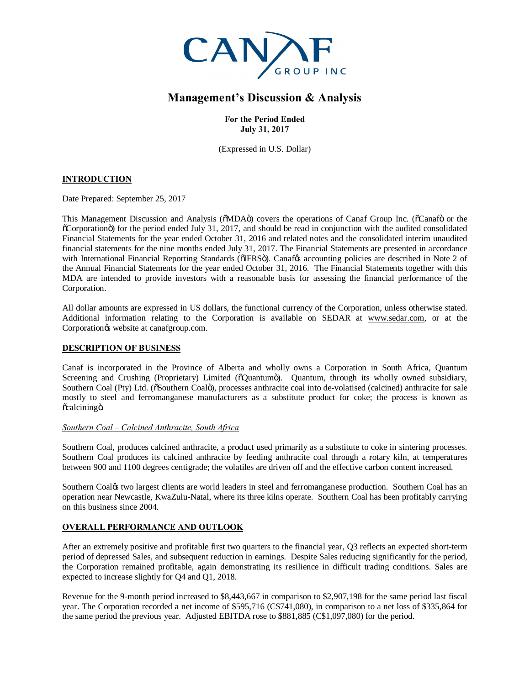

# **Management's Discussion & Analysis**

**For the Period Ended July 31, 2017**

(Expressed in U.S. Dollar)

# **INTRODUCTION**

Date Prepared: September 25, 2017

This Management Discussion and Analysis ( $\delta MDA\ddot{o}$ ) covers the operations of Canaf Group Inc. ( $\delta C$ anaf $\ddot{o}$  or the "Corporation") for the period ended July 31, 2017, and should be read in conjunction with the audited consolidated Financial Statements for the year ended October 31, 2016 and related notes and the consolidated interim unaudited financial statements for the nine months ended July 31, 2017. The Financial Statements are presented in accordance with International Financial Reporting Standards ( $\delta$ IFRS $\ddot{\sigma}$ ). Canaf& accounting policies are described in Note 2 of the Annual Financial Statements for the year ended October 31, 2016. The Financial Statements together with this MDA are intended to provide investors with a reasonable basis for assessing the financial performance of the Corporation.

All dollar amounts are expressed in US dollars, the functional currency of the Corporation, unless otherwise stated. Additional information relating to the Corporation is available on SEDAR at [www.sedar.com,](http://www.sedar.com/) or at the Corporation $\circ$ s website at canafgroup.com.

# **DESCRIPTION OF BUSINESS**

Canaf is incorporated in the Province of Alberta and wholly owns a Corporation in South Africa, Quantum Screening and Crushing (Proprietary) Limited ( $\tilde{o}$ Quantum $\tilde{o}$ ). Quantum, through its wholly owned subsidiary, Southern Coal (Pty) Ltd. ( $\delta$ Southern Coal $\ddot{o}$ ), processes anthracite coal into de-volatised (calcined) anthracite for sale mostly to steel and ferromanganese manufacturers as a substitute product for coke; the process is known as õcalciningö.

### *Southern Coal – Calcined Anthracite, South Africa*

Southern Coal, produces calcined anthracite, a product used primarily as a substitute to coke in sintering processes. Southern Coal produces its calcined anthracite by feeding anthracite coal through a rotary kiln, at temperatures between 900 and 1100 degrees centigrade; the volatiles are driven off and the effective carbon content increased.

Southern Coal $\alpha$  two largest clients are world leaders in steel and ferromanganese production. Southern Coal has an operation near Newcastle, KwaZulu-Natal, where its three kilns operate. Southern Coal has been profitably carrying on this business since 2004.

# **OVERALL PERFORMANCE AND OUTLOOK**

After an extremely positive and profitable first two quarters to the financial year, Q3 reflects an expected short-term period of depressed Sales, and subsequent reduction in earnings. Despite Sales reducing significantly for the period, the Corporation remained profitable, again demonstrating its resilience in difficult trading conditions. Sales are expected to increase slightly for Q4 and Q1, 2018.

Revenue for the 9-month period increased to \$8,443,667 in comparison to \$2,907,198 for the same period last fiscal year. The Corporation recorded a net income of \$595,716 (C\$741,080), in comparison to a net loss of \$335,864 for the same period the previous year. Adjusted EBITDA rose to \$881,885 (C\$1,097,080) for the period.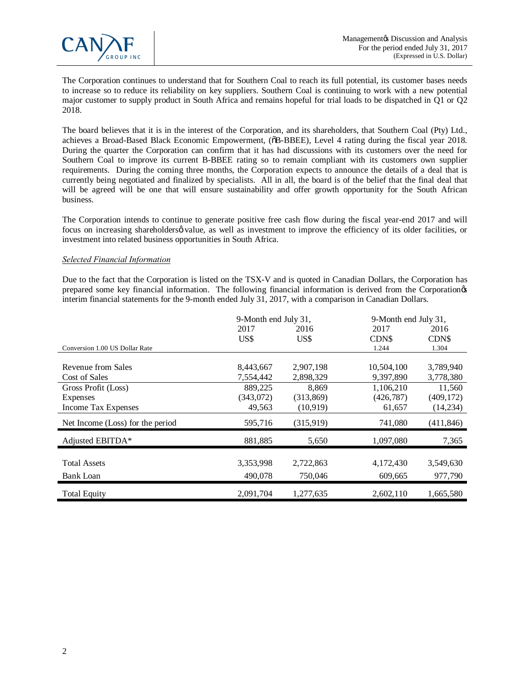

The Corporation continues to understand that for Southern Coal to reach its full potential, its customer bases needs to increase so to reduce its reliability on key suppliers. Southern Coal is continuing to work with a new potential major customer to supply product in South Africa and remains hopeful for trial loads to be dispatched in Q1 or Q2 2018.

The board believes that it is in the interest of the Corporation, and its shareholders, that Southern Coal (Pty) Ltd., achieves a Broad-Based Black Economic Empowerment, ( $\delta$ B-BBEE), Level 4 rating during the fiscal year 2018. During the quarter the Corporation can confirm that it has had discussions with its customers over the need for Southern Coal to improve its current B-BBEE rating so to remain compliant with its customers own supplier requirements. During the coming three months, the Corporation expects to announce the details of a deal that is currently being negotiated and finalized by specialists. All in all, the board is of the belief that the final deal that will be agreed will be one that will ensure sustainability and offer growth opportunity for the South African business.

The Corporation intends to continue to generate positive free cash flow during the fiscal year-end 2017 and will focus on increasing shareholdersø value, as well as investment to improve the efficiency of its older facilities, or investment into related business opportunities in South Africa.

#### *Selected Financial Information*

Due to the fact that the Corporation is listed on the TSX-V and is quoted in Canadian Dollars, the Corporation has prepared some key financial information. The following financial information is derived from the Corporation's interim financial statements for the 9-month ended July 31, 2017, with a comparison in Canadian Dollars.

|                                  | 9-Month end July 31, |            | 9-Month end July 31, |            |
|----------------------------------|----------------------|------------|----------------------|------------|
|                                  | 2017                 | 2016       | 2017                 | 2016       |
|                                  | US\$                 | US\$       | <b>CDNS</b>          | CDN\$      |
| Conversion 1.00 US Dollar Rate   |                      |            | 1.244                | 1.304      |
|                                  |                      |            |                      |            |
| Revenue from Sales               | 8,443,667            | 2,907,198  | 10,504,100           | 3,789,940  |
| Cost of Sales                    | 7,554,442            | 2,898,329  | 9,397,890            | 3,778,380  |
| Gross Profit (Loss)              | 889,225              | 8,869      | 1,106,210            | 11,560     |
| <b>Expenses</b>                  | (343,072)            | (313, 869) | (426, 787)           | (409, 172) |
| <b>Income Tax Expenses</b>       | 49,563               | (10,919)   | 61,657               | (14,234)   |
| Net Income (Loss) for the period | 595,716              | (315,919)  | 741,080              | (411, 846) |
| Adjusted EBITDA*                 | 881,885              | 5,650      | 1,097,080            | 7,365      |
|                                  |                      |            |                      |            |
| <b>Total Assets</b>              | 3,353,998            | 2,722,863  | 4,172,430            | 3,549,630  |
| <b>Bank Loan</b>                 | 490,078              | 750,046    | 609,665              | 977,790    |
| <b>Total Equity</b>              | 2,091,704            | 1,277,635  | 2,602,110            | 1,665,580  |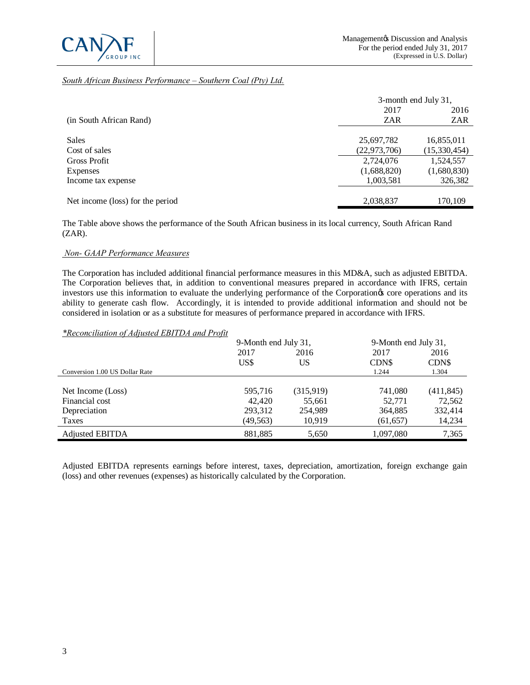

# *South African Business Performance – Southern Coal (Pty) Ltd.*

|                                  | 3-month end July 31, |              |
|----------------------------------|----------------------|--------------|
|                                  | 2017                 | 2016         |
| (in South African Rand)          | <b>ZAR</b>           | ZAR          |
|                                  |                      |              |
| <b>Sales</b>                     | 25,697,782           | 16,855,011   |
| Cost of sales                    | (22, 973, 706)       | (15,330,454) |
| Gross Profit                     | 2,724,076            | 1,524,557    |
| <b>Expenses</b>                  | (1,688,820)          | (1,680,830)  |
| Income tax expense               | 1,003,581            | 326,382      |
|                                  |                      |              |
| Net income (loss) for the period | 2,038,837            | 170,109      |

The Table above shows the performance of the South African business in its local currency, South African Rand (ZAR).

#### *Non- GAAP Performance Measures*

The Corporation has included additional financial performance measures in this MD&A, such as adjusted EBITDA. The Corporation believes that, in addition to conventional measures prepared in accordance with IFRS, certain investors use this information to evaluate the underlying performance of the Corporation $\alpha$  core operations and its ability to generate cash flow. Accordingly, it is intended to provide additional information and should not be considered in isolation or as a substitute for measures of performance prepared in accordance with IFRS.

#### *\*Reconciliation of Adjusted EBITDA and Profit*

|                                | 9-Month end July 31, |           | 9-Month end July 31, |            |
|--------------------------------|----------------------|-----------|----------------------|------------|
|                                | 2017                 | 2016      | 2017                 | 2016       |
|                                | US\$                 | US        | CDN\$                | CDN\$      |
| Conversion 1.00 US Dollar Rate |                      |           | 1.244                | 1.304      |
|                                |                      |           |                      |            |
| Net Income (Loss)              | 595,716              | (315,919) | 741,080              | (411, 845) |
| Financial cost                 | 42,420               | 55,661    | 52,771               | 72,562     |
| Depreciation                   | 293,312              | 254,989   | 364,885              | 332,414    |
| Taxes                          | (49, 563)            | 10.919    | (61, 657)            | 14,234     |
| <b>Adjusted EBITDA</b>         | 881.885              | 5,650     | 1,097,080            | 7,365      |

Adjusted EBITDA represents earnings before interest, taxes, depreciation, amortization, foreign exchange gain (loss) and other revenues (expenses) as historically calculated by the Corporation.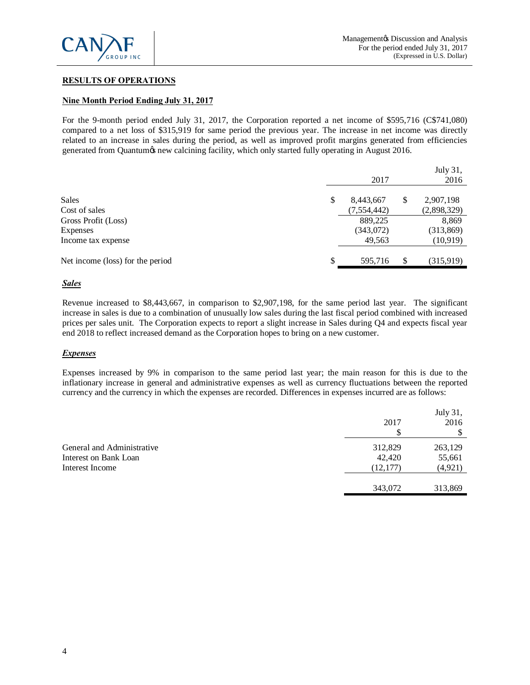

# **RESULTS OF OPERATIONS**

# **Nine Month Period Ending July 31, 2017**

For the 9-month period ended July 31, 2017, the Corporation reported a net income of \$595,716 (C\$741,080) compared to a net loss of \$315,919 for same period the previous year. The increase in net income was directly related to an increase in sales during the period, as well as improved profit margins generated from efficiencies generated from Quantum is new calcining facility, which only started fully operating in August 2016.

|                                  | 2017            |    | July 31,<br>2016 |
|----------------------------------|-----------------|----|------------------|
|                                  |                 |    |                  |
| <b>Sales</b>                     | \$<br>8,443,667 | S  | 2,907,198        |
| Cost of sales                    | (7, 554, 442)   |    | (2,898,329)      |
| Gross Profit (Loss)              | 889,225         |    | 8,869            |
| Expenses                         | (343,072)       |    | (313,869)        |
| Income tax expense               | 49,563          |    | (10, 919)        |
| Net income (loss) for the period | \$<br>595,716   | \$ | (315,919)        |
|                                  |                 |    |                  |

#### *Sales*

Revenue increased to \$8,443,667, in comparison to \$2,907,198, for the same period last year. The significant increase in sales is due to a combination of unusually low sales during the last fiscal period combined with increased prices per sales unit. The Corporation expects to report a slight increase in Sales during Q4 and expects fiscal year end 2018 to reflect increased demand as the Corporation hopes to bring on a new customer.

#### *Expenses*

Expenses increased by 9% in comparison to the same period last year; the main reason for this is due to the inflationary increase in general and administrative expenses as well as currency fluctuations between the reported currency and the currency in which the expenses are recorded. Differences in expenses incurred are as follows:

|                                                                        | 2017<br>S                      | July 31,<br>2016              |
|------------------------------------------------------------------------|--------------------------------|-------------------------------|
| General and Administrative<br>Interest on Bank Loan<br>Interest Income | 312,829<br>42,420<br>(12, 177) | 263,129<br>55,661<br>(4, 921) |
|                                                                        | 343,072                        | 313,869                       |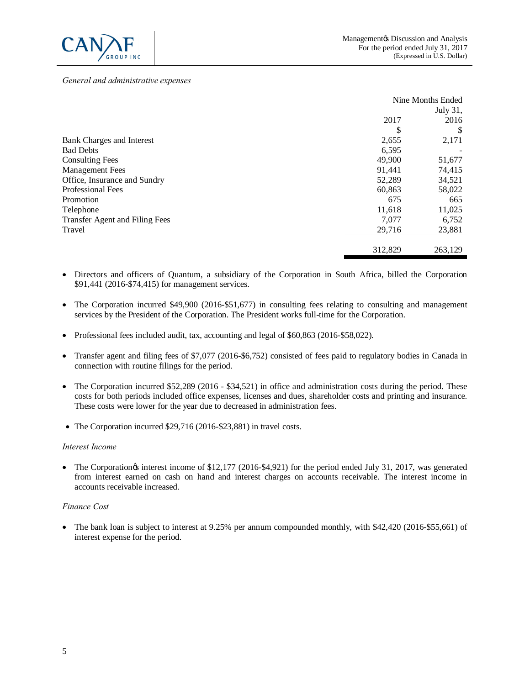

#### *General and administrative expenses*

|                                | Nine Months Ended |          |
|--------------------------------|-------------------|----------|
|                                |                   | July 31, |
|                                | 2017              | 2016     |
|                                | S                 | \$       |
| Bank Charges and Interest      | 2,655             | 2,171    |
| <b>Bad Debts</b>               | 6,595             |          |
| <b>Consulting Fees</b>         | 49,900            | 51,677   |
| <b>Management</b> Fees         | 91,441            | 74,415   |
| Office, Insurance and Sundry   | 52,289            | 34,521   |
| <b>Professional Fees</b>       | 60,863            | 58,022   |
| Promotion                      | 675               | 665      |
| Telephone                      | 11,618            | 11,025   |
| Transfer Agent and Filing Fees | 7,077             | 6,752    |
| Travel                         | 29,716            | 23,881   |
|                                |                   |          |
|                                | 312,829           | 263,129  |

- · Directors and officers of Quantum, a subsidiary of the Corporation in South Africa, billed the Corporation \$91,441 (2016-\$74,415) for management services.
- The Corporation incurred \$49,900 (2016-\$51,677) in consulting fees relating to consulting and management services by the President of the Corporation. The President works full-time for the Corporation.
- Professional fees included audit, tax, accounting and legal of \$60,863 (2016-\$58,022).
- · Transfer agent and filing fees of \$7,077 (2016-\$6,752) consisted of fees paid to regulatory bodies in Canada in connection with routine filings for the period.
- The Corporation incurred \$52,289 (2016 \$34,521) in office and administration costs during the period. These costs for both periods included office expenses, licenses and dues, shareholder costs and printing and insurance. These costs were lower for the year due to decreased in administration fees.
- The Corporation incurred \$29,716 (2016-\$23,881) in travel costs.

#### *Interest Income*

• The Corporationgs interest income of \$12,177 (2016-\$4,921) for the period ended July 31, 2017, was generated from interest earned on cash on hand and interest charges on accounts receivable. The interest income in accounts receivable increased.

#### *Finance Cost*

• The bank loan is subject to interest at 9.25% per annum compounded monthly, with \$42,420 (2016-\$55,661) of interest expense for the period.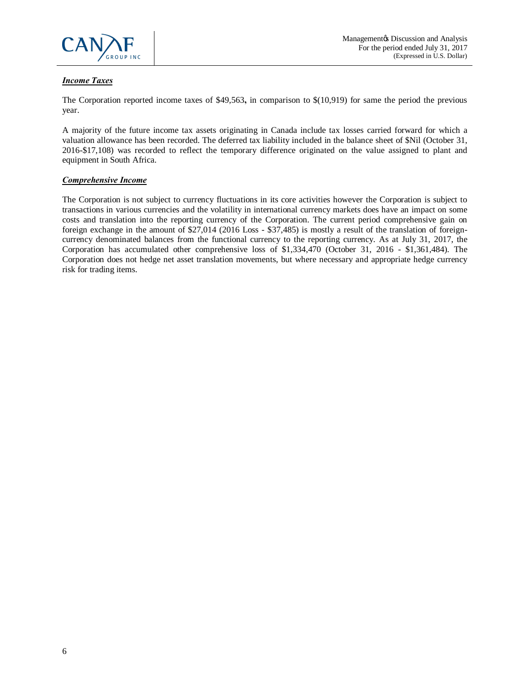

# *Income Taxes*

The Corporation reported income taxes of \$49,563**,** in comparison to \$(10,919) for same the period the previous year.

A majority of the future income tax assets originating in Canada include tax losses carried forward for which a valuation allowance has been recorded. The deferred tax liability included in the balance sheet of \$Nil (October 31, 2016-\$17,108) was recorded to reflect the temporary difference originated on the value assigned to plant and equipment in South Africa.

# *Comprehensive Income*

The Corporation is not subject to currency fluctuations in its core activities however the Corporation is subject to transactions in various currencies and the volatility in international currency markets does have an impact on some costs and translation into the reporting currency of the Corporation. The current period comprehensive gain on foreign exchange in the amount of \$27,014 (2016 Loss - \$37,485) is mostly a result of the translation of foreigncurrency denominated balances from the functional currency to the reporting currency. As at July 31, 2017, the Corporation has accumulated other comprehensive loss of \$1,334,470 (October 31, 2016 - \$1,361,484). The Corporation does not hedge net asset translation movements, but where necessary and appropriate hedge currency risk for trading items.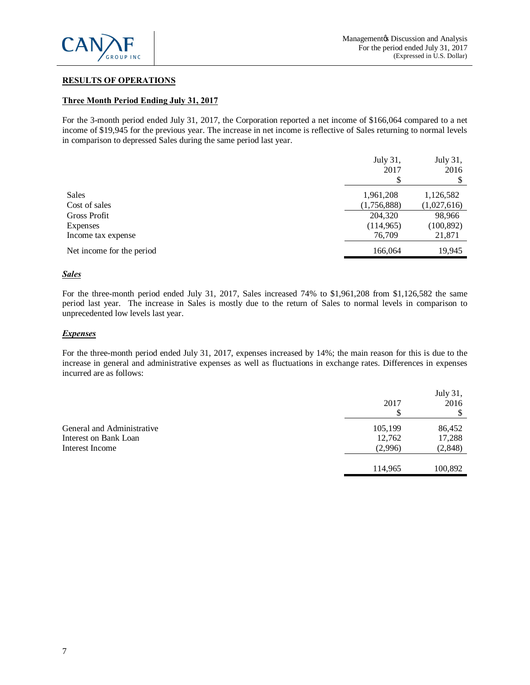

# **RESULTS OF OPERATIONS**

### **Three Month Period Ending July 31, 2017**

For the 3-month period ended July 31, 2017, the Corporation reported a net income of \$166,064 compared to a net income of \$19,945 for the previous year. The increase in net income is reflective of Sales returning to normal levels in comparison to depressed Sales during the same period last year.

|                           | July 31,<br>2017<br>S | July 31,<br>2016 |
|---------------------------|-----------------------|------------------|
| <b>Sales</b>              | 1,961,208             | 1,126,582        |
| Cost of sales             | (1,756,888)           | (1,027,616)      |
| Gross Profit              | 204,320               | 98,966           |
| Expenses                  | (114,965)             | (100, 892)       |
| Income tax expense        | 76,709                | 21,871           |
| Net income for the period | 166,064               | 19,945           |

#### *Sales*

For the three-month period ended July 31, 2017, Sales increased 74% to \$1,961,208 from \$1,126,582 the same period last year. The increase in Sales is mostly due to the return of Sales to normal levels in comparison to unprecedented low levels last year.

#### *Expenses*

For the three-month period ended July 31, 2017, expenses increased by 14%; the main reason for this is due to the increase in general and administrative expenses as well as fluctuations in exchange rates. Differences in expenses incurred are as follows:

|                            | 2017    | July 31,<br>2016 |
|----------------------------|---------|------------------|
| General and Administrative | 105,199 | 86,452           |
| Interest on Bank Loan      | 12,762  | 17,288           |
| Interest Income            | (2,996) | (2, 848)         |
|                            |         |                  |
|                            | 114,965 | 100,892          |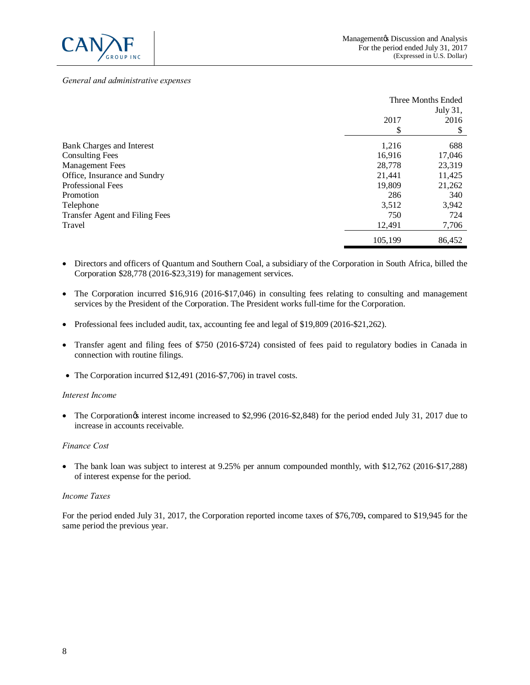

#### *General and administrative expenses*

|                                | Three Months Ended |          |
|--------------------------------|--------------------|----------|
|                                |                    | July 31, |
|                                | 2017               | 2016     |
|                                | \$                 | \$       |
| Bank Charges and Interest      | 1,216              | 688      |
| <b>Consulting Fees</b>         | 16,916             | 17,046   |
| <b>Management Fees</b>         | 28,778             | 23,319   |
| Office, Insurance and Sundry   | 21.441             | 11,425   |
| <b>Professional Fees</b>       | 19,809             | 21,262   |
| Promotion                      | 286                | 340      |
| Telephone                      | 3,512              | 3,942    |
| Transfer Agent and Filing Fees | 750                | 724      |
| Travel                         | 12,491             | 7,706    |
|                                | 105,199            | 86,452   |

- · Directors and officers of Quantum and Southern Coal, a subsidiary of the Corporation in South Africa, billed the Corporation \$28,778 (2016-\$23,319) for management services.
- The Corporation incurred \$16,916 (2016-\$17,046) in consulting fees relating to consulting and management services by the President of the Corporation. The President works full-time for the Corporation.
- · Professional fees included audit, tax, accounting fee and legal of \$19,809 (2016-\$21,262).
- · Transfer agent and filing fees of \$750 (2016-\$724) consisted of fees paid to regulatory bodies in Canada in connection with routine filings.
- · The Corporation incurred \$12,491 (2016-\$7,706) in travel costs.

#### *Interest Income*

• The Corporationgs interest income increased to \$2,996 (2016-\$2,848) for the period ended July 31, 2017 due to increase in accounts receivable.

#### *Finance Cost*

• The bank loan was subject to interest at 9.25% per annum compounded monthly, with \$12,762 (2016-\$17,288) of interest expense for the period.

#### *Income Taxes*

For the period ended July 31, 2017, the Corporation reported income taxes of \$76,709**,** compared to \$19,945 for the same period the previous year.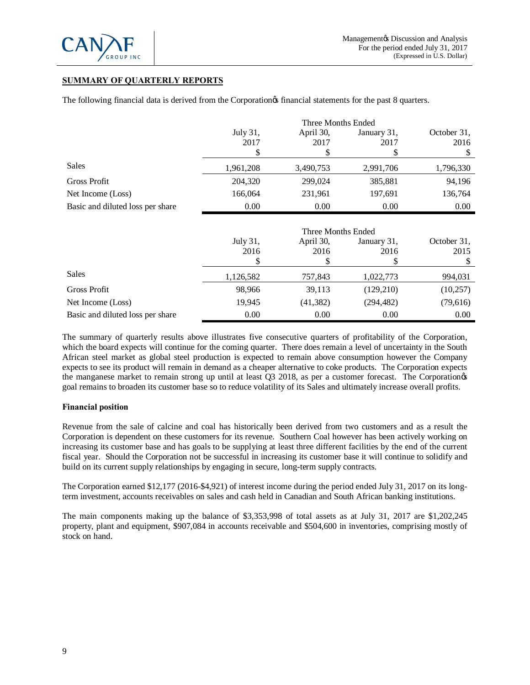

# **SUMMARY OF QUARTERLY REPORTS**

The following financial data is derived from the Corporation<sub> $\alpha$ </sub> financial statements for the past 8 quarters.

|                                  | Three Months Ended |                    |             |             |
|----------------------------------|--------------------|--------------------|-------------|-------------|
|                                  | July 31,           | April 30,          | January 31, | October 31, |
|                                  | 2017               | 2017               | 2017        | 2016        |
|                                  | S                  |                    | S           | \$          |
| <b>Sales</b>                     | 1,961,208          | 3,490,753          | 2,991,706   | 1,796,330   |
| <b>Gross Profit</b>              | 204,320            | 299,024            | 385,881     | 94,196      |
| Net Income (Loss)                | 166,064            | 231,961            | 197,691     | 136,764     |
| Basic and diluted loss per share | 0.00               | 0.00               | 0.00        | 0.00        |
|                                  |                    |                    |             |             |
|                                  |                    | Three Months Ended |             |             |
|                                  | July 31,           | April 30,          | January 31, | October 31, |
|                                  | 2016               | 2016               | 2016        | 2015        |
|                                  |                    |                    | S           |             |
| <b>Sales</b>                     | 1,126,582          | 757,843            | 1,022,773   | 994,031     |
| <b>Gross Profit</b>              | 98,966             | 39,113             | (129, 210)  | (10, 257)   |

The summary of quarterly results above illustrates five consecutive quarters of profitability of the Corporation, which the board expects will continue for the coming quarter. There does remain a level of uncertainty in the South African steel market as global steel production is expected to remain above consumption however the Company expects to see its product will remain in demand as a cheaper alternative to coke products. The Corporation expects the manganese market to remain strong up until at least Q3 2018, as per a customer forecast. The Corporation<sub>®</sub> goal remains to broaden its customer base so to reduce volatility of its Sales and ultimately increase overall profits.

Net Income (Loss) 19,945 (41,382) (294,482) (79,616) Basic and diluted loss per share 0.00 0.00 0.00 0.00 0.00 0.00 0.00

# **Financial position**

Revenue from the sale of calcine and coal has historically been derived from two customers and as a result the Corporation is dependent on these customers for its revenue. Southern Coal however has been actively working on increasing its customer base and has goals to be supplying at least three different facilities by the end of the current fiscal year. Should the Corporation not be successful in increasing its customer base it will continue to solidify and build on its current supply relationships by engaging in secure, long-term supply contracts.

The Corporation earned \$12,177 (2016-\$4,921) of interest income during the period ended July 31, 2017 on its longterm investment, accounts receivables on sales and cash held in Canadian and South African banking institutions.

The main components making up the balance of \$3,353,998 of total assets as at July 31, 2017 are \$1,202,245 property, plant and equipment, \$907,084 in accounts receivable and \$504,600 in inventories, comprising mostly of stock on hand.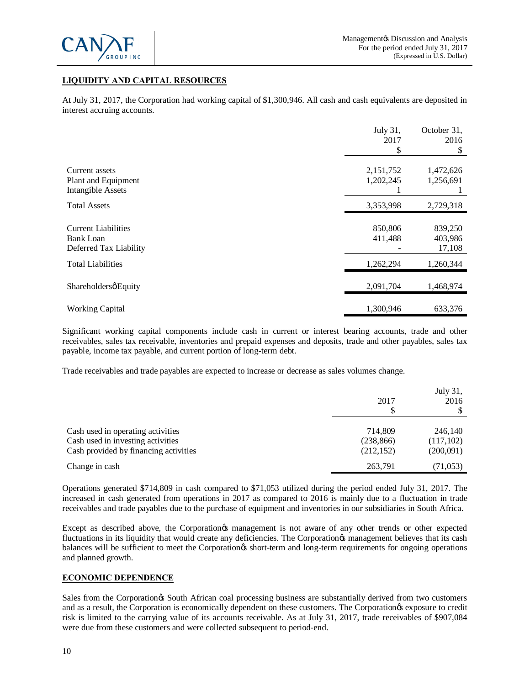

# **LIQUIDITY AND CAPITAL RESOURCES**

At July 31, 2017, the Corporation had working capital of \$1,300,946. All cash and cash equivalents are deposited in interest accruing accounts.

|                                                 | July 31,  | October 31, |
|-------------------------------------------------|-----------|-------------|
|                                                 | 2017      | 2016        |
|                                                 |           | S           |
| Current assets                                  | 2,151,752 | 1,472,626   |
| Plant and Equipment<br><b>Intangible Assets</b> | 1,202,245 | 1,256,691   |
| <b>Total Assets</b>                             | 3,353,998 | 2,729,318   |
|                                                 |           |             |
| <b>Current Liabilities</b>                      | 850,806   | 839,250     |
| Bank Loan                                       | 411,488   | 403,986     |
| Deferred Tax Liability                          |           | 17,108      |
| <b>Total Liabilities</b>                        | 1,262,294 | 1,260,344   |
| ShareholdersøEquity                             | 2,091,704 | 1,468,974   |
| <b>Working Capital</b>                          | 1,300,946 | 633,376     |

Significant working capital components include cash in current or interest bearing accounts, trade and other receivables, sales tax receivable, inventories and prepaid expenses and deposits, trade and other payables, sales tax payable, income tax payable, and current portion of long-term debt.

Trade receivables and trade payables are expected to increase or decrease as sales volumes change.

|                                       | 2017       | July 31,<br>2016 |
|---------------------------------------|------------|------------------|
| Cash used in operating activities     | 714,809    | 246,140          |
| Cash used in investing activities     | (238, 866) | (117,102)        |
| Cash provided by financing activities | (212, 152) | (200,091)        |
| Change in cash                        | 263,791    | (71, 053)        |

Operations generated \$714,809 in cash compared to \$71,053 utilized during the period ended July 31, 2017. The increased in cash generated from operations in 2017 as compared to 2016 is mainly due to a fluctuation in trade receivables and trade payables due to the purchase of equipment and inventories in our subsidiaries in South Africa.

Except as described above, the Corporation & management is not aware of any other trends or other expected fluctuations in its liquidity that would create any deficiencies. The Corporation $\alpha$  management believes that its cash balances will be sufficient to meet the Corporation<sub>os</sub> short-term and long-term requirements for ongoing operations and planned growth.

# **ECONOMIC DEPENDENCE**

Sales from the Corporation is South African coal processing business are substantially derived from two customers and as a result, the Corporation is economically dependent on these customers. The Corporation's exposure to credit risk is limited to the carrying value of its accounts receivable. As at July 31, 2017, trade receivables of \$907,084 were due from these customers and were collected subsequent to period-end.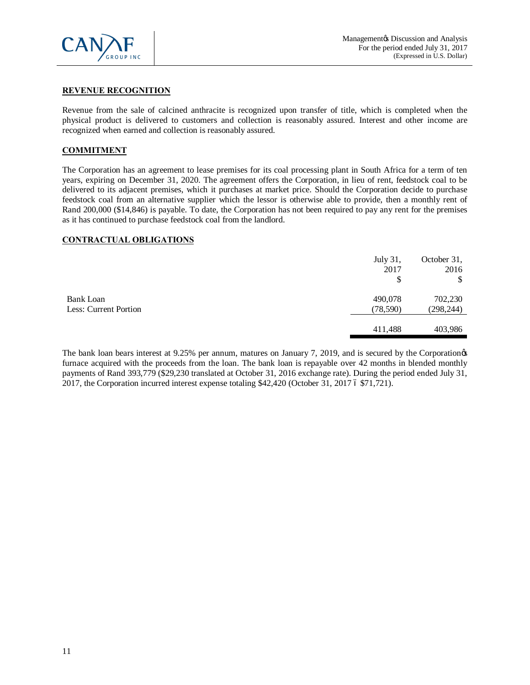

# **REVENUE RECOGNITION**

Revenue from the sale of calcined anthracite is recognized upon transfer of title, which is completed when the physical product is delivered to customers and collection is reasonably assured. Interest and other income are recognized when earned and collection is reasonably assured.

# **COMMITMENT**

The Corporation has an agreement to lease premises for its coal processing plant in South Africa for a term of ten years, expiring on December 31, 2020. The agreement offers the Corporation, in lieu of rent, feedstock coal to be delivered to its adjacent premises, which it purchases at market price. Should the Corporation decide to purchase feedstock coal from an alternative supplier which the lessor is otherwise able to provide, then a monthly rent of Rand 200,000 (\$14,846) is payable. To date, the Corporation has not been required to pay any rent for the premises as it has continued to purchase feedstock coal from the landlord.

# **CONTRACTUAL OBLIGATIONS**

|                                           | July 31,<br>2017<br>\$ | October 31,<br>2016   |
|-------------------------------------------|------------------------|-----------------------|
| <b>Bank Loan</b><br>Less: Current Portion | 490,078<br>(78, 590)   | 702,230<br>(298, 244) |
|                                           | 411,488                | 403,986               |

The bank loan bears interest at 9.25% per annum, matures on January 7, 2019, and is secured by the Corporationgs furnace acquired with the proceeds from the loan. The bank loan is repayable over 42 months in blended monthly payments of Rand 393,779 (\$29,230 translated at October 31, 2016 exchange rate). During the period ended July 31, 2017, the Corporation incurred interest expense totaling  $$42,420$  (October 31, 2017 6  $$71,721$ ).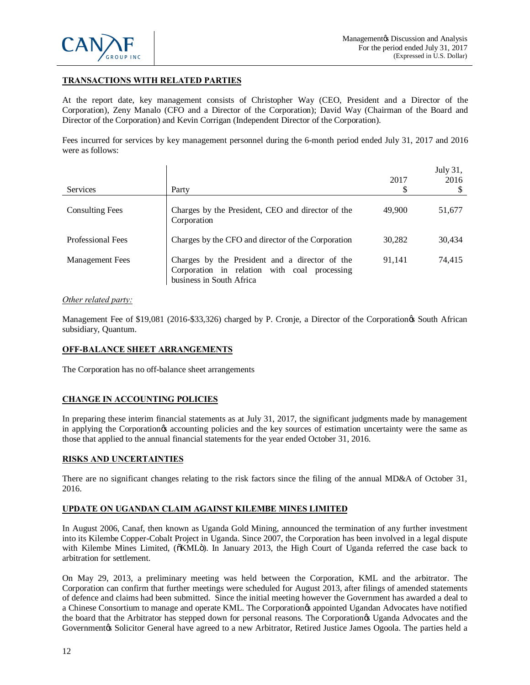

# **TRANSACTIONS WITH RELATED PARTIES**

At the report date, key management consists of Christopher Way (CEO, President and a Director of the Corporation), Zeny Manalo (CFO and a Director of the Corporation); David Way (Chairman of the Board and Director of the Corporation) and Kevin Corrigan (Independent Director of the Corporation).

Fees incurred for services by key management personnel during the 6-month period ended July 31, 2017 and 2016 were as follows:

| <b>Services</b>          | Party                                                                                                                      | 2017<br>S | July 31,<br>2016 |
|--------------------------|----------------------------------------------------------------------------------------------------------------------------|-----------|------------------|
| <b>Consulting Fees</b>   | Charges by the President, CEO and director of the<br>Corporation                                                           | 49,900    | 51,677           |
| <b>Professional Fees</b> | Charges by the CFO and director of the Corporation                                                                         | 30.282    | 30,434           |
| <b>Management Fees</b>   | Charges by the President and a director of the<br>Corporation in relation with coal processing<br>business in South Africa | 91.141    | 74,415           |

### *Other related party:*

Management Fee of \$19,081 (2016-\$33,326) charged by P. Cronje, a Director of the Corporationgs South African subsidiary, Quantum.

# **OFF-BALANCE SHEET ARRANGEMENTS**

The Corporation has no off-balance sheet arrangements

# **CHANGE IN ACCOUNTING POLICIES**

In preparing these interim financial statements as at July 31, 2017, the significant judgments made by management in applying the Corporation $\alpha$  accounting policies and the key sources of estimation uncertainty were the same as those that applied to the annual financial statements for the year ended October 31, 2016.

# **RISKS AND UNCERTAINTIES**

There are no significant changes relating to the risk factors since the filing of the annual MD&A of October 31, 2016.

# **UPDATE ON UGANDAN CLAIM AGAINST KILEMBE MINES LIMITED**

In August 2006, Canaf, then known as Uganda Gold Mining, announced the termination of any further investment into its Kilembe Copper-Cobalt Project in Uganda. Since 2007, the Corporation has been involved in a legal dispute with Kilembe Mines Limited, ( $\delta$ KML $\ddot{o}$ ). In January 2013, the High Court of Uganda referred the case back to arbitration for settlement.

On May 29, 2013, a preliminary meeting was held between the Corporation, KML and the arbitrator. The Corporation can confirm that further meetings were scheduled for August 2013, after filings of amended statements of defence and claims had been submitted. Since the initial meeting however the Government has awarded a deal to a Chinese Consortium to manage and operate KML. The Corporation& appointed Ugandan Advocates have notified the board that the Arbitrator has stepped down for personal reasons. The Corporation $\alpha$  Uganda Advocates and the Governmentøs Solicitor General have agreed to a new Arbitrator, Retired Justice James Ogoola. The parties held a